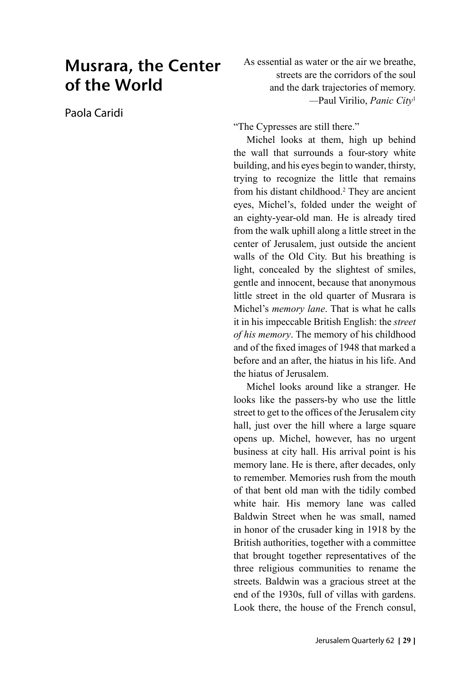# Musrara, the Center of the World

Paola Caridi

As essential as water or the air we breathe, streets are the corridors of the soul and the dark trajectories of memory. *—*Paul Virilio, *Panic City*<sup>1</sup>

"The Cypresses are still there."

Michel looks at them, high up behind the wall that surrounds a four-story white building, and his eyes begin to wander, thirsty, trying to recognize the little that remains from his distant childhood.2 They are ancient eyes, Michel's, folded under the weight of an eighty-year-old man. He is already tired from the walk uphill along a little street in the center of Jerusalem, just outside the ancient walls of the Old City. But his breathing is light, concealed by the slightest of smiles, gentle and innocent, because that anonymous little street in the old quarter of Musrara is Michel's *memory lane*. That is what he calls it in his impeccable British English: the *street of his memory*. The memory of his childhood and of the fixed images of 1948 that marked a before and an after, the hiatus in his life. And the hiatus of Jerusalem.

Michel looks around like a stranger. He looks like the passers-by who use the little street to get to the offices of the Jerusalem city hall, just over the hill where a large square opens up. Michel, however, has no urgent business at city hall. His arrival point is his memory lane. He is there, after decades, only to remember. Memories rush from the mouth of that bent old man with the tidily combed white hair. His memory lane was called Baldwin Street when he was small, named in honor of the crusader king in 1918 by the British authorities, together with a committee that brought together representatives of the three religious communities to rename the streets. Baldwin was a gracious street at the end of the 1930s, full of villas with gardens. Look there, the house of the French consul,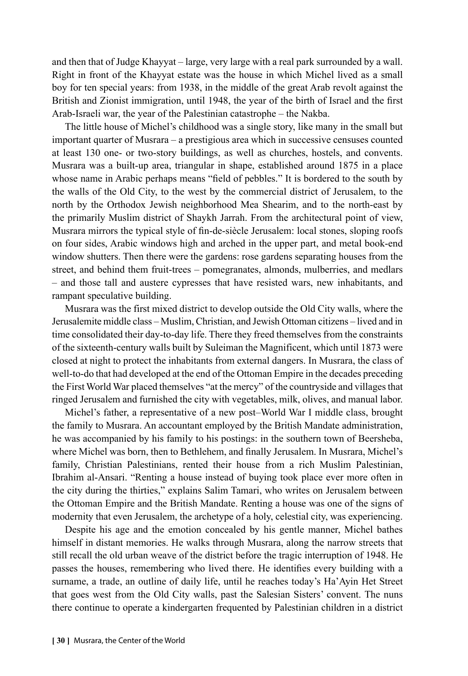and then that of Judge Khayyat – large, very large with a real park surrounded by a wall. Right in front of the Khayyat estate was the house in which Michel lived as a small boy for ten special years: from 1938, in the middle of the great Arab revolt against the British and Zionist immigration, until 1948, the year of the birth of Israel and the first Arab-Israeli war, the year of the Palestinian catastrophe – the Nakba.

The little house of Michel's childhood was a single story, like many in the small but important quarter of Musrara – a prestigious area which in successive censuses counted at least 130 one- or two-story buildings, as well as churches, hostels, and convents. Musrara was a built-up area, triangular in shape, established around 1875 in a place whose name in Arabic perhaps means "field of pebbles." It is bordered to the south by the walls of the Old City, to the west by the commercial district of Jerusalem, to the north by the Orthodox Jewish neighborhood Mea Shearim, and to the north-east by the primarily Muslim district of Shaykh Jarrah. From the architectural point of view, Musrara mirrors the typical style of fin-de-siècle Jerusalem: local stones, sloping roofs on four sides, Arabic windows high and arched in the upper part, and metal book-end window shutters. Then there were the gardens: rose gardens separating houses from the street, and behind them fruit-trees – pomegranates, almonds, mulberries, and medlars – and those tall and austere cypresses that have resisted wars, new inhabitants, and rampant speculative building.

Musrara was the first mixed district to develop outside the Old City walls, where the Jerusalemite middle class – Muslim, Christian, and Jewish Ottoman citizens – lived and in time consolidated their day-to-day life. There they freed themselves from the constraints of the sixteenth-century walls built by Suleiman the Magnificent, which until 1873 were closed at night to protect the inhabitants from external dangers. In Musrara, the class of well-to-do that had developed at the end of the Ottoman Empire in the decades preceding the First World War placed themselves "at the mercy" of the countryside and villages that ringed Jerusalem and furnished the city with vegetables, milk, olives, and manual labor.

Michel's father, a representative of a new post–World War I middle class, brought the family to Musrara. An accountant employed by the British Mandate administration, he was accompanied by his family to his postings: in the southern town of Beersheba, where Michel was born, then to Bethlehem, and finally Jerusalem. In Musrara, Michel's family, Christian Palestinians, rented their house from a rich Muslim Palestinian, Ibrahim al-Ansari. "Renting a house instead of buying took place ever more often in the city during the thirties," explains Salim Tamari, who writes on Jerusalem between the Ottoman Empire and the British Mandate. Renting a house was one of the signs of modernity that even Jerusalem, the archetype of a holy, celestial city, was experiencing.

Despite his age and the emotion concealed by his gentle manner, Michel bathes himself in distant memories. He walks through Musrara, along the narrow streets that still recall the old urban weave of the district before the tragic interruption of 1948. He passes the houses, remembering who lived there. He identifies every building with a surname, a trade, an outline of daily life, until he reaches today's Ha'Ayin Het Street that goes west from the Old City walls, past the Salesian Sisters' convent. The nuns there continue to operate a kindergarten frequented by Palestinian children in a district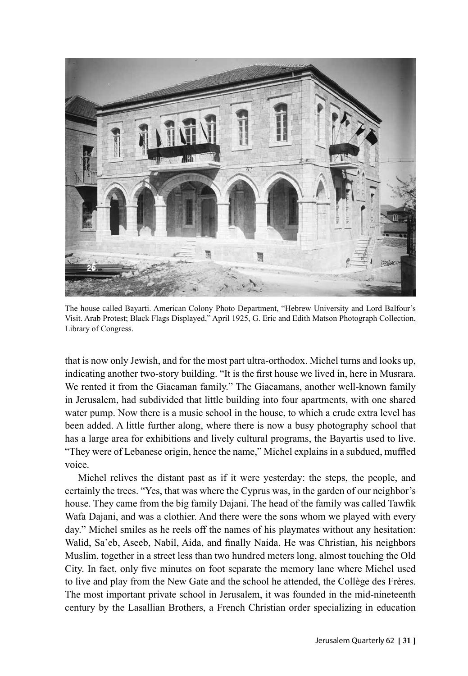

The house called Bayarti. American Colony Photo Department, "Hebrew University and Lord Balfour's Visit. Arab Protest; Black Flags Displayed," April 1925, G. Eric and Edith Matson Photograph Collection, Library of Congress.

that is now only Jewish, and for the most part ultra-orthodox. Michel turns and looks up, indicating another two-story building. "It is the first house we lived in, here in Musrara. We rented it from the Giacaman family." The Giacamans, another well-known family in Jerusalem, had subdivided that little building into four apartments, with one shared water pump. Now there is a music school in the house, to which a crude extra level has been added. A little further along, where there is now a busy photography school that has a large area for exhibitions and lively cultural programs, the Bayartis used to live. "They were of Lebanese origin, hence the name," Michel explains in a subdued, muffled voice.

Michel relives the distant past as if it were yesterday: the steps, the people, and certainly the trees. "Yes, that was where the Cyprus was, in the garden of our neighbor's house. They came from the big family Dajani. The head of the family was called Tawfik Wafa Dajani, and was a clothier. And there were the sons whom we played with every day." Michel smiles as he reels off the names of his playmates without any hesitation: Walid, Sa'eb, Aseeb, Nabil, Aida, and finally Naida. He was Christian, his neighbors Muslim, together in a street less than two hundred meters long, almost touching the Old City. In fact, only five minutes on foot separate the memory lane where Michel used to live and play from the New Gate and the school he attended, the Collège des Frères. The most important private school in Jerusalem, it was founded in the mid-nineteenth century by the Lasallian Brothers, a French Christian order specializing in education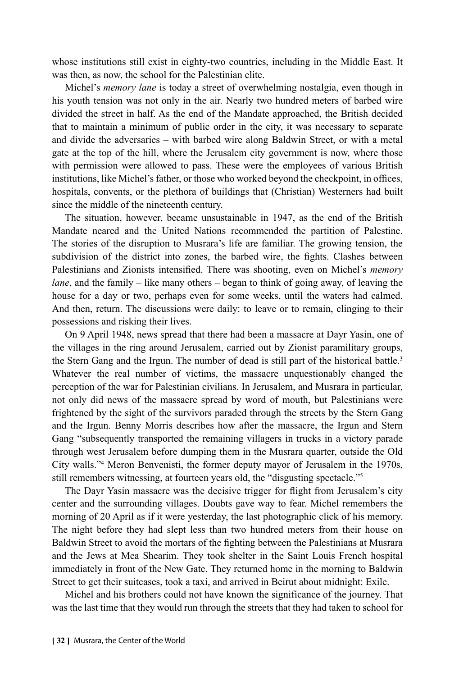whose institutions still exist in eighty-two countries, including in the Middle East. It was then, as now, the school for the Palestinian elite.

Michel's *memory lane* is today a street of overwhelming nostalgia, even though in his youth tension was not only in the air. Nearly two hundred meters of barbed wire divided the street in half. As the end of the Mandate approached, the British decided that to maintain a minimum of public order in the city, it was necessary to separate and divide the adversaries – with barbed wire along Baldwin Street, or with a metal gate at the top of the hill, where the Jerusalem city government is now, where those with permission were allowed to pass. These were the employees of various British institutions, like Michel's father, or those who worked beyond the checkpoint, in offices, hospitals, convents, or the plethora of buildings that (Christian) Westerners had built since the middle of the nineteenth century.

The situation, however, became unsustainable in 1947, as the end of the British Mandate neared and the United Nations recommended the partition of Palestine. The stories of the disruption to Musrara's life are familiar. The growing tension, the subdivision of the district into zones, the barbed wire, the fights. Clashes between Palestinians and Zionists intensified. There was shooting, even on Michel's *memory lane*, and the family – like many others – began to think of going away, of leaving the house for a day or two, perhaps even for some weeks, until the waters had calmed. And then, return. The discussions were daily: to leave or to remain, clinging to their possessions and risking their lives.

On 9 April 1948, news spread that there had been a massacre at Dayr Yasin, one of the villages in the ring around Jerusalem, carried out by Zionist paramilitary groups, the Stern Gang and the Irgun. The number of dead is still part of the historical battle.<sup>3</sup> Whatever the real number of victims, the massacre unquestionably changed the perception of the war for Palestinian civilians. In Jerusalem, and Musrara in particular, not only did news of the massacre spread by word of mouth, but Palestinians were frightened by the sight of the survivors paraded through the streets by the Stern Gang and the Irgun. Benny Morris describes how after the massacre, the Irgun and Stern Gang "subsequently transported the remaining villagers in trucks in a victory parade through west Jerusalem before dumping them in the Musrara quarter, outside the Old City walls."4 Meron Benvenisti, the former deputy mayor of Jerusalem in the 1970s, still remembers witnessing, at fourteen years old, the "disgusting spectacle."5

The Dayr Yasin massacre was the decisive trigger for flight from Jerusalem's city center and the surrounding villages. Doubts gave way to fear. Michel remembers the morning of 20 April as if it were yesterday, the last photographic click of his memory. The night before they had slept less than two hundred meters from their house on Baldwin Street to avoid the mortars of the fighting between the Palestinians at Musrara and the Jews at Mea Shearim. They took shelter in the Saint Louis French hospital immediately in front of the New Gate. They returned home in the morning to Baldwin Street to get their suitcases, took a taxi, and arrived in Beirut about midnight: Exile.

Michel and his brothers could not have known the significance of the journey. That was the last time that they would run through the streets that they had taken to school for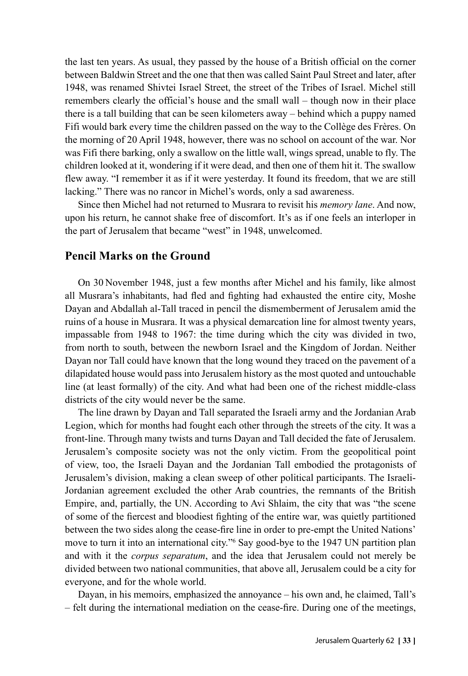the last ten years. As usual, they passed by the house of a British official on the corner between Baldwin Street and the one that then was called Saint Paul Street and later, after 1948, was renamed Shivtei Israel Street, the street of the Tribes of Israel. Michel still remembers clearly the official's house and the small wall – though now in their place there is a tall building that can be seen kilometers away – behind which a puppy named Fifi would bark every time the children passed on the way to the Collège des Frères. On the morning of 20 April 1948, however, there was no school on account of the war. Nor was Fifi there barking, only a swallow on the little wall, wings spread, unable to fly. The children looked at it, wondering if it were dead, and then one of them hit it. The swallow flew away. "I remember it as if it were yesterday. It found its freedom, that we are still lacking." There was no rancor in Michel's words, only a sad awareness.

Since then Michel had not returned to Musrara to revisit his *memory lane*. And now, upon his return, he cannot shake free of discomfort. It's as if one feels an interloper in the part of Jerusalem that became "west" in 1948, unwelcomed.

#### **Pencil Marks on the Ground**

On 30 November 1948, just a few months after Michel and his family, like almost all Musrara's inhabitants, had fled and fighting had exhausted the entire city, Moshe Dayan and Abdallah al-Tall traced in pencil the dismemberment of Jerusalem amid the ruins of a house in Musrara. It was a physical demarcation line for almost twenty years, impassable from 1948 to 1967: the time during which the city was divided in two, from north to south, between the newborn Israel and the Kingdom of Jordan. Neither Dayan nor Tall could have known that the long wound they traced on the pavement of a dilapidated house would pass into Jerusalem history as the most quoted and untouchable line (at least formally) of the city. And what had been one of the richest middle-class districts of the city would never be the same.

The line drawn by Dayan and Tall separated the Israeli army and the Jordanian Arab Legion, which for months had fought each other through the streets of the city. It was a front-line. Through many twists and turns Dayan and Tall decided the fate of Jerusalem. Jerusalem's composite society was not the only victim. From the geopolitical point of view, too, the Israeli Dayan and the Jordanian Tall embodied the protagonists of Jerusalem's division, making a clean sweep of other political participants. The Israeli-Jordanian agreement excluded the other Arab countries, the remnants of the British Empire, and, partially, the UN. According to Avi Shlaim, the city that was "the scene of some of the fiercest and bloodiest fighting of the entire war, was quietly partitioned between the two sides along the cease-fire line in order to pre-empt the United Nations' move to turn it into an international city."6 Say good-bye to the 1947 UN partition plan and with it the *corpus separatum*, and the idea that Jerusalem could not merely be divided between two national communities, that above all, Jerusalem could be a city for everyone, and for the whole world.

Dayan, in his memoirs, emphasized the annoyance – his own and, he claimed, Tall's – felt during the international mediation on the cease-fire. During one of the meetings,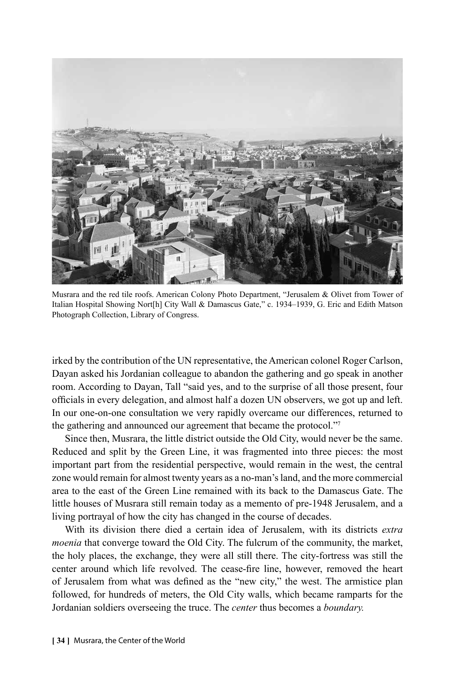

Musrara and the red tile roofs. American Colony Photo Department, "Jerusalem & Olivet from Tower of Italian Hospital Showing Nort[h] City Wall & Damascus Gate," c. 1934–1939, G. Eric and Edith Matson Photograph Collection, Library of Congress.

irked by the contribution of the UN representative, the American colonel Roger Carlson, Dayan asked his Jordanian colleague to abandon the gathering and go speak in another room. According to Dayan, Tall "said yes, and to the surprise of all those present, four officials in every delegation, and almost half a dozen UN observers, we got up and left. In our one-on-one consultation we very rapidly overcame our differences, returned to the gathering and announced our agreement that became the protocol."7

Since then, Musrara, the little district outside the Old City, would never be the same. Reduced and split by the Green Line, it was fragmented into three pieces: the most important part from the residential perspective, would remain in the west, the central zone would remain for almost twenty years as a no-man's land, and the more commercial area to the east of the Green Line remained with its back to the Damascus Gate. The little houses of Musrara still remain today as a memento of pre-1948 Jerusalem, and a living portrayal of how the city has changed in the course of decades.

With its division there died a certain idea of Jerusalem, with its districts *extra moenia* that converge toward the Old City. The fulcrum of the community, the market, the holy places, the exchange, they were all still there. The city-fortress was still the center around which life revolved. The cease-fire line, however, removed the heart of Jerusalem from what was defined as the "new city," the west. The armistice plan followed, for hundreds of meters, the Old City walls, which became ramparts for the Jordanian soldiers overseeing the truce. The *center* thus becomes a *boundary.*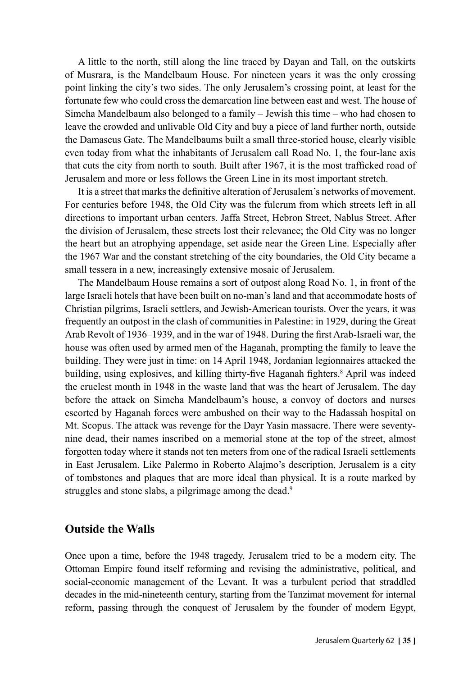A little to the north, still along the line traced by Dayan and Tall, on the outskirts of Musrara, is the Mandelbaum House. For nineteen years it was the only crossing point linking the city's two sides. The only Jerusalem's crossing point, at least for the fortunate few who could cross the demarcation line between east and west. The house of Simcha Mandelbaum also belonged to a family – Jewish this time – who had chosen to leave the crowded and unlivable Old City and buy a piece of land further north, outside the Damascus Gate. The Mandelbaums built a small three-storied house, clearly visible even today from what the inhabitants of Jerusalem call Road No. 1, the four-lane axis that cuts the city from north to south. Built after 1967, it is the most trafficked road of Jerusalem and more or less follows the Green Line in its most important stretch.

It is a street that marks the definitive alteration of Jerusalem's networks of movement. For centuries before 1948, the Old City was the fulcrum from which streets left in all directions to important urban centers. Jaffa Street, Hebron Street, Nablus Street. After the division of Jerusalem, these streets lost their relevance; the Old City was no longer the heart but an atrophying appendage, set aside near the Green Line. Especially after the 1967 War and the constant stretching of the city boundaries, the Old City became a small tessera in a new, increasingly extensive mosaic of Jerusalem.

The Mandelbaum House remains a sort of outpost along Road No. 1, in front of the large Israeli hotels that have been built on no-man's land and that accommodate hosts of Christian pilgrims, Israeli settlers, and Jewish-American tourists. Over the years, it was frequently an outpost in the clash of communities in Palestine: in 1929, during the Great Arab Revolt of 1936–1939, and in the war of 1948. During the first Arab-Israeli war, the house was often used by armed men of the Haganah, prompting the family to leave the building. They were just in time: on 14 April 1948, Jordanian legionnaires attacked the building, using explosives, and killing thirty-five Haganah fighters.<sup>8</sup> April was indeed the cruelest month in 1948 in the waste land that was the heart of Jerusalem. The day before the attack on Simcha Mandelbaum's house, a convoy of doctors and nurses escorted by Haganah forces were ambushed on their way to the Hadassah hospital on Mt. Scopus. The attack was revenge for the Dayr Yasin massacre. There were seventynine dead, their names inscribed on a memorial stone at the top of the street, almost forgotten today where it stands not ten meters from one of the radical Israeli settlements in East Jerusalem. Like Palermo in Roberto Alajmo's description, Jerusalem is a city of tombstones and plaques that are more ideal than physical. It is a route marked by struggles and stone slabs, a pilgrimage among the dead.<sup>9</sup>

# **Outside the Walls**

Once upon a time, before the 1948 tragedy, Jerusalem tried to be a modern city. The Ottoman Empire found itself reforming and revising the administrative, political, and social-economic management of the Levant. It was a turbulent period that straddled decades in the mid-nineteenth century, starting from the Tanzimat movement for internal reform, passing through the conquest of Jerusalem by the founder of modern Egypt,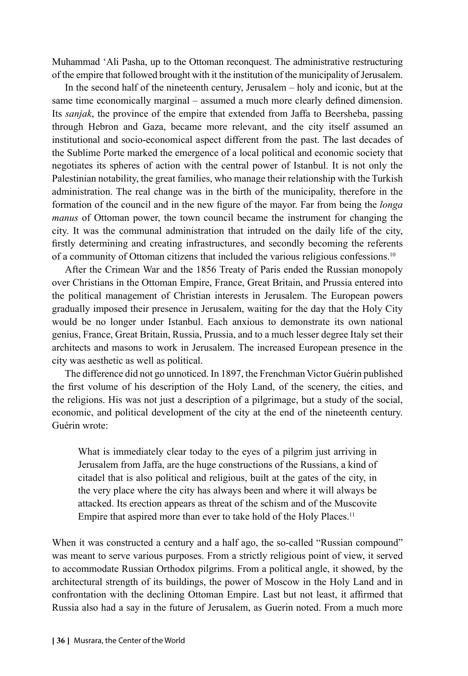Muhammad 'Ali Pasha, up to the Ottoman reconquest. The administrative restructuring of the empire that followed brought with it the institution of the municipality of Jerusalem.

In the second half of the nineteenth century, Jerusalem – holy and iconic, but at the same time economically marginal – assumed a much more clearly defined dimension. Its *sanjak*, the province of the empire that extended from Jaffa to Beersheba, passing through Hebron and Gaza, became more relevant, and the city itself assumed an institutional and socio-economical aspect different from the past. The last decades of the Sublime Porte marked the emergence of a local political and economic society that negotiates its spheres of action with the central power of Istanbul. It is not only the Palestinian notability, the great families, who manage their relationship with the Turkish administration. The real change was in the birth of the municipality, therefore in the formation of the council and in the new figure of the mayor. Far from being the *longa manus* of Ottoman power, the town council became the instrument for changing the city. It was the communal administration that intruded on the daily life of the city, firstly determining and creating infrastructures, and secondly becoming the referents of a community of Ottoman citizens that included the various religious confessions.10

After the Crimean War and the 1856 Treaty of Paris ended the Russian monopoly over Christians in the Ottoman Empire, France, Great Britain, and Prussia entered into the political management of Christian interests in Jerusalem. The European powers gradually imposed their presence in Jerusalem, waiting for the day that the Holy City would be no longer under Istanbul. Each anxious to demonstrate its own national genius, France, Great Britain, Russia, Prussia, and to a much lesser degree Italy set their architects and masons to work in Jerusalem. The increased European presence in the city was aesthetic as well as political.

The difference did not go unnoticed. In 1897, the Frenchman Victor Guérin published the first volume of his description of the Holy Land, of the scenery, the cities, and the religions. His was not just a description of a pilgrimage, but a study of the social, economic, and political development of the city at the end of the nineteenth century. Guérin wrote:

What is immediately clear today to the eyes of a pilgrim just arriving in Jerusalem from Jaffa, are the huge constructions of the Russians, a kind of citadel that is also political and religious, built at the gates of the city, in the very place where the city has always been and where it will always be attacked. Its erection appears as threat of the schism and of the Muscovite Empire that aspired more than ever to take hold of the Holy Places.<sup>11</sup>

When it was constructed a century and a half ago, the so-called "Russian compound" was meant to serve various purposes. From a strictly religious point of view, it served to accommodate Russian Orthodox pilgrims. From a political angle, it showed, by the architectural strength of its buildings, the power of Moscow in the Holy Land and in confrontation with the declining Ottoman Empire. Last but not least, it affirmed that Russia also had a say in the future of Jerusalem, as Guerin noted. From a much more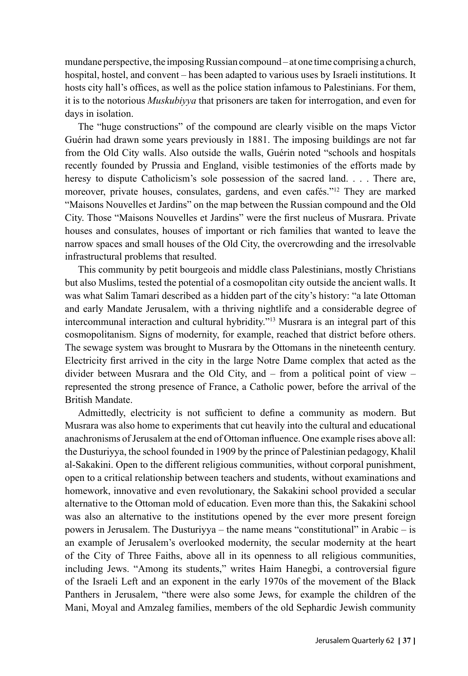mundane perspective, the imposing Russian compound – at one time comprising a church, hospital, hostel, and convent – has been adapted to various uses by Israeli institutions. It hosts city hall's offices, as well as the police station infamous to Palestinians. For them, it is to the notorious *Muskubiyya* that prisoners are taken for interrogation, and even for days in isolation.

The "huge constructions" of the compound are clearly visible on the maps Victor Guérin had drawn some years previously in 1881. The imposing buildings are not far from the Old City walls. Also outside the walls, Guérin noted "schools and hospitals recently founded by Prussia and England, visible testimonies of the efforts made by heresy to dispute Catholicism's sole possession of the sacred land. . . . There are, moreover, private houses, consulates, gardens, and even cafés."12 They are marked "Maisons Nouvelles et Jardins" on the map between the Russian compound and the Old City. Those "Maisons Nouvelles et Jardins" were the first nucleus of Musrara. Private houses and consulates, houses of important or rich families that wanted to leave the narrow spaces and small houses of the Old City, the overcrowding and the irresolvable infrastructural problems that resulted.

This community by petit bourgeois and middle class Palestinians, mostly Christians but also Muslims, tested the potential of a cosmopolitan city outside the ancient walls. It was what Salim Tamari described as a hidden part of the city's history: "a late Ottoman and early Mandate Jerusalem, with a thriving nightlife and a considerable degree of intercommunal interaction and cultural hybridity."13 Musrara is an integral part of this cosmopolitanism. Signs of modernity, for example, reached that district before others. The sewage system was brought to Musrara by the Ottomans in the nineteenth century. Electricity first arrived in the city in the large Notre Dame complex that acted as the divider between Musrara and the Old City, and – from a political point of view – represented the strong presence of France, a Catholic power, before the arrival of the British Mandate.

Admittedly, electricity is not sufficient to define a community as modern. But Musrara was also home to experiments that cut heavily into the cultural and educational anachronisms of Jerusalem at the end of Ottoman influence. One example rises above all: the Dusturiyya, the school founded in 1909 by the prince of Palestinian pedagogy, Khalil al-Sakakini. Open to the different religious communities, without corporal punishment, open to a critical relationship between teachers and students, without examinations and homework, innovative and even revolutionary, the Sakakini school provided a secular alternative to the Ottoman mold of education. Even more than this, the Sakakini school was also an alternative to the institutions opened by the ever more present foreign powers in Jerusalem. The Dusturiyya – the name means "constitutional" in Arabic – is an example of Jerusalem's overlooked modernity, the secular modernity at the heart of the City of Three Faiths, above all in its openness to all religious communities, including Jews. "Among its students," writes Haim Hanegbi, a controversial figure of the Israeli Left and an exponent in the early 1970s of the movement of the Black Panthers in Jerusalem, "there were also some Jews, for example the children of the Mani, Moyal and Amzaleg families, members of the old Sephardic Jewish community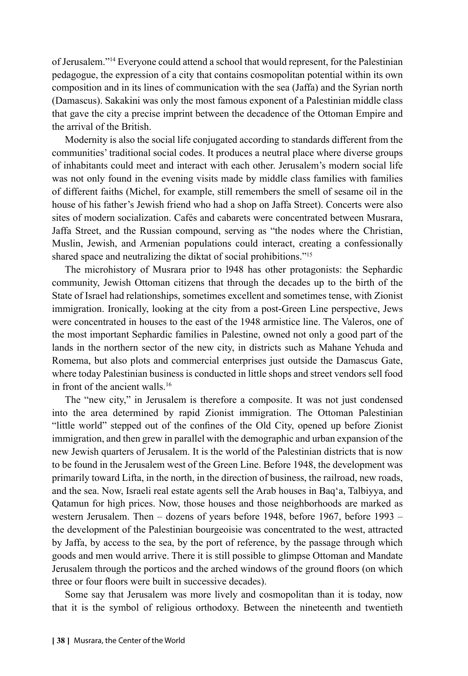of Jerusalem."14 Everyone could attend a school that would represent, for the Palestinian pedagogue, the expression of a city that contains cosmopolitan potential within its own composition and in its lines of communication with the sea (Jaffa) and the Syrian north (Damascus). Sakakini was only the most famous exponent of a Palestinian middle class that gave the city a precise imprint between the decadence of the Ottoman Empire and the arrival of the British.

Modernity is also the social life conjugated according to standards different from the communities' traditional social codes. It produces a neutral place where diverse groups of inhabitants could meet and interact with each other. Jerusalem's modern social life was not only found in the evening visits made by middle class families with families of different faiths (Michel, for example, still remembers the smell of sesame oil in the house of his father's Jewish friend who had a shop on Jaffa Street). Concerts were also sites of modern socialization. Cafés and cabarets were concentrated between Musrara, Jaffa Street, and the Russian compound, serving as "the nodes where the Christian, Muslin, Jewish, and Armenian populations could interact, creating a confessionally shared space and neutralizing the diktat of social prohibitions."15

The microhistory of Musrara prior to l948 has other protagonists: the Sephardic community, Jewish Ottoman citizens that through the decades up to the birth of the State of Israel had relationships, sometimes excellent and sometimes tense, with Zionist immigration. Ironically, looking at the city from a post-Green Line perspective, Jews were concentrated in houses to the east of the 1948 armistice line. The Valeros, one of the most important Sephardic families in Palestine, owned not only a good part of the lands in the northern sector of the new city, in districts such as Mahane Yehuda and Romema, but also plots and commercial enterprises just outside the Damascus Gate, where today Palestinian business is conducted in little shops and street vendors sell food in front of the ancient walls.<sup>16</sup>

The "new city," in Jerusalem is therefore a composite. It was not just condensed into the area determined by rapid Zionist immigration. The Ottoman Palestinian "little world" stepped out of the confines of the Old City, opened up before Zionist immigration, and then grew in parallel with the demographic and urban expansion of the new Jewish quarters of Jerusalem. It is the world of the Palestinian districts that is now to be found in the Jerusalem west of the Green Line. Before 1948, the development was primarily toward Lifta, in the north, in the direction of business, the railroad, new roads, and the sea. Now, Israeli real estate agents sell the Arab houses in Baq'a, Talbiyya, and Qatamun for high prices. Now, those houses and those neighborhoods are marked as western Jerusalem. Then – dozens of years before 1948, before 1967, before 1993 – the development of the Palestinian bourgeoisie was concentrated to the west, attracted by Jaffa, by access to the sea, by the port of reference, by the passage through which goods and men would arrive. There it is still possible to glimpse Ottoman and Mandate Jerusalem through the porticos and the arched windows of the ground floors (on which three or four floors were built in successive decades).

Some say that Jerusalem was more lively and cosmopolitan than it is today, now that it is the symbol of religious orthodoxy. Between the nineteenth and twentieth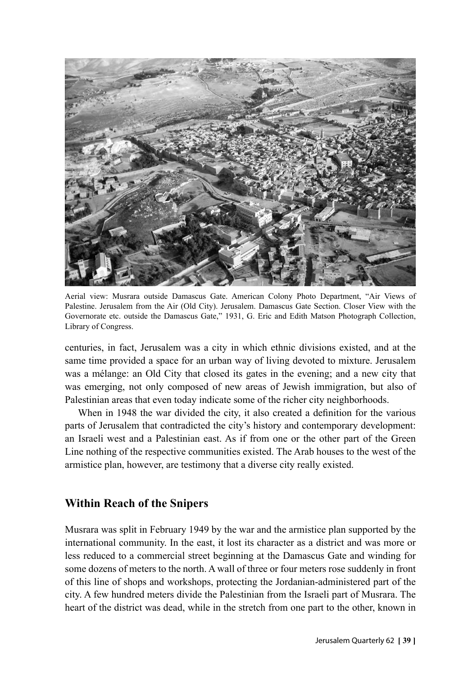

Aerial view: Musrara outside Damascus Gate. American Colony Photo Department, "Air Views of Palestine. Jerusalem from the Air (Old City). Jerusalem. Damascus Gate Section. Closer View with the Governorate etc. outside the Damascus Gate," 1931, G. Eric and Edith Matson Photograph Collection, Library of Congress.

centuries, in fact, Jerusalem was a city in which ethnic divisions existed, and at the same time provided a space for an urban way of living devoted to mixture. Jerusalem was a mélange: an Old City that closed its gates in the evening; and a new city that was emerging, not only composed of new areas of Jewish immigration, but also of Palestinian areas that even today indicate some of the richer city neighborhoods.

When in 1948 the war divided the city, it also created a definition for the various parts of Jerusalem that contradicted the city's history and contemporary development: an Israeli west and a Palestinian east. As if from one or the other part of the Green Line nothing of the respective communities existed. The Arab houses to the west of the armistice plan, however, are testimony that a diverse city really existed.

# **Within Reach of the Snipers**

Musrara was split in February 1949 by the war and the armistice plan supported by the international community. In the east, it lost its character as a district and was more or less reduced to a commercial street beginning at the Damascus Gate and winding for some dozens of meters to the north. A wall of three or four meters rose suddenly in front of this line of shops and workshops, protecting the Jordanian-administered part of the city. A few hundred meters divide the Palestinian from the Israeli part of Musrara. The heart of the district was dead, while in the stretch from one part to the other, known in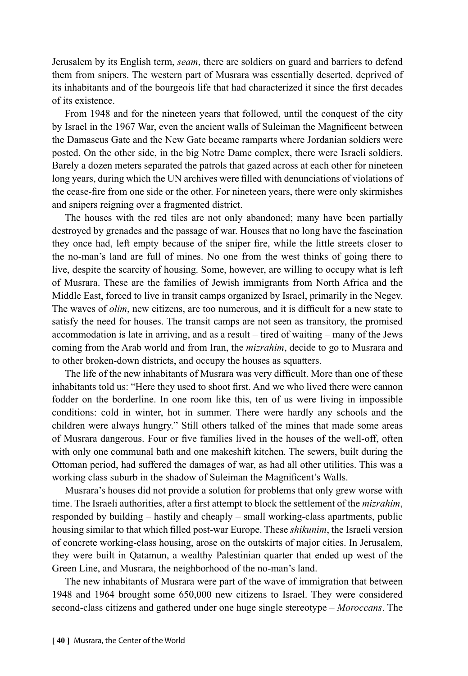Jerusalem by its English term, *seam*, there are soldiers on guard and barriers to defend them from snipers. The western part of Musrara was essentially deserted, deprived of its inhabitants and of the bourgeois life that had characterized it since the first decades of its existence.

From 1948 and for the nineteen years that followed, until the conquest of the city by Israel in the 1967 War, even the ancient walls of Suleiman the Magnificent between the Damascus Gate and the New Gate became ramparts where Jordanian soldiers were posted. On the other side, in the big Notre Dame complex, there were Israeli soldiers. Barely a dozen meters separated the patrols that gazed across at each other for nineteen long years, during which the UN archives were filled with denunciations of violations of the cease-fire from one side or the other. For nineteen years, there were only skirmishes and snipers reigning over a fragmented district.

The houses with the red tiles are not only abandoned; many have been partially destroyed by grenades and the passage of war. Houses that no long have the fascination they once had, left empty because of the sniper fire, while the little streets closer to the no-man's land are full of mines. No one from the west thinks of going there to live, despite the scarcity of housing. Some, however, are willing to occupy what is left of Musrara. These are the families of Jewish immigrants from North Africa and the Middle East, forced to live in transit camps organized by Israel, primarily in the Negev. The waves of *olim*, new citizens, are too numerous, and it is difficult for a new state to satisfy the need for houses. The transit camps are not seen as transitory, the promised accommodation is late in arriving, and as a result – tired of waiting – many of the Jews coming from the Arab world and from Iran, the *mizrahim*, decide to go to Musrara and to other broken-down districts, and occupy the houses as squatters.

The life of the new inhabitants of Musrara was very difficult. More than one of these inhabitants told us: "Here they used to shoot first. And we who lived there were cannon fodder on the borderline. In one room like this, ten of us were living in impossible conditions: cold in winter, hot in summer. There were hardly any schools and the children were always hungry." Still others talked of the mines that made some areas of Musrara dangerous. Four or five families lived in the houses of the well-off, often with only one communal bath and one makeshift kitchen. The sewers, built during the Ottoman period, had suffered the damages of war, as had all other utilities. This was a working class suburb in the shadow of Suleiman the Magnificent's Walls.

Musrara's houses did not provide a solution for problems that only grew worse with time. The Israeli authorities, after a first attempt to block the settlement of the *mizrahim*, responded by building – hastily and cheaply – small working-class apartments, public housing similar to that which filled post-war Europe. These *shikunim*, the Israeli version of concrete working-class housing, arose on the outskirts of major cities. In Jerusalem, they were built in Qatamun, a wealthy Palestinian quarter that ended up west of the Green Line, and Musrara, the neighborhood of the no-man's land.

The new inhabitants of Musrara were part of the wave of immigration that between 1948 and 1964 brought some 650,000 new citizens to Israel. They were considered second-class citizens and gathered under one huge single stereotype – *Moroccans*. The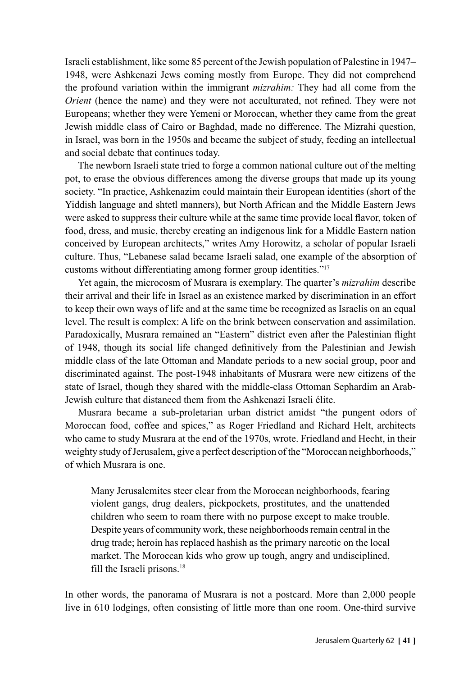Israeli establishment, like some 85 percent of the Jewish population of Palestine in 1947– 1948, were Ashkenazi Jews coming mostly from Europe. They did not comprehend the profound variation within the immigrant *mizrahim:* They had all come from the *Orient* (hence the name) and they were not acculturated, not refined. They were not Europeans; whether they were Yemeni or Moroccan, whether they came from the great Jewish middle class of Cairo or Baghdad, made no difference. The Mizrahi question, in Israel, was born in the 1950s and became the subject of study, feeding an intellectual and social debate that continues today.

The newborn Israeli state tried to forge a common national culture out of the melting pot, to erase the obvious differences among the diverse groups that made up its young society. "In practice, Ashkenazim could maintain their European identities (short of the Yiddish language and shtetl manners), but North African and the Middle Eastern Jews were asked to suppress their culture while at the same time provide local flavor, token of food, dress, and music, thereby creating an indigenous link for a Middle Eastern nation conceived by European architects," writes Amy Horowitz, a scholar of popular Israeli culture. Thus, "Lebanese salad became Israeli salad, one example of the absorption of customs without differentiating among former group identities."17

Yet again, the microcosm of Musrara is exemplary. The quarter's *mizrahim* describe their arrival and their life in Israel as an existence marked by discrimination in an effort to keep their own ways of life and at the same time be recognized as Israelis on an equal level. The result is complex: A life on the brink between conservation and assimilation. Paradoxically, Musrara remained an "Eastern" district even after the Palestinian flight of 1948, though its social life changed definitively from the Palestinian and Jewish middle class of the late Ottoman and Mandate periods to a new social group, poor and discriminated against. The post-1948 inhabitants of Musrara were new citizens of the state of Israel, though they shared with the middle-class Ottoman Sephardim an Arab-Jewish culture that distanced them from the Ashkenazi Israeli élite.

Musrara became a sub-proletarian urban district amidst "the pungent odors of Moroccan food, coffee and spices," as Roger Friedland and Richard Helt, architects who came to study Musrara at the end of the 1970s, wrote. Friedland and Hecht, in their weighty study of Jerusalem, give a perfect description of the "Moroccan neighborhoods," of which Musrara is one.

Many Jerusalemites steer clear from the Moroccan neighborhoods, fearing violent gangs, drug dealers, pickpockets, prostitutes, and the unattended children who seem to roam there with no purpose except to make trouble. Despite years of community work, these neighborhoods remain central in the drug trade; heroin has replaced hashish as the primary narcotic on the local market. The Moroccan kids who grow up tough, angry and undisciplined, fill the Israeli prisons.18

In other words, the panorama of Musrara is not a postcard. More than 2,000 people live in 610 lodgings, often consisting of little more than one room. One-third survive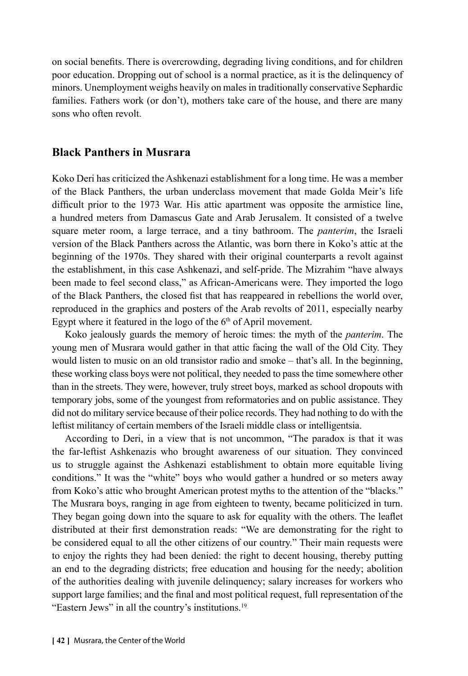on social benefits. There is overcrowding, degrading living conditions, and for children poor education. Dropping out of school is a normal practice, as it is the delinquency of minors. Unemployment weighs heavily on males in traditionally conservative Sephardic families. Fathers work (or don't), mothers take care of the house, and there are many sons who often revolt.

### **Black Panthers in Musrara**

Koko Deri has criticized the Ashkenazi establishment for a long time. He was a member of the Black Panthers, the urban underclass movement that made Golda Meir's life difficult prior to the 1973 War. His attic apartment was opposite the armistice line, a hundred meters from Damascus Gate and Arab Jerusalem. It consisted of a twelve square meter room, a large terrace, and a tiny bathroom. The *panterim*, the Israeli version of the Black Panthers across the Atlantic, was born there in Koko's attic at the beginning of the 1970s. They shared with their original counterparts a revolt against the establishment, in this case Ashkenazi, and self-pride. The Mizrahim "have always been made to feel second class," as African-Americans were. They imported the logo of the Black Panthers, the closed fist that has reappeared in rebellions the world over, reproduced in the graphics and posters of the Arab revolts of 2011, especially nearby Egypt where it featured in the logo of the  $6<sup>th</sup>$  of April movement.

Koko jealously guards the memory of heroic times: the myth of the *panterim*. The young men of Musrara would gather in that attic facing the wall of the Old City. They would listen to music on an old transistor radio and smoke – that's all. In the beginning, these working class boys were not political, they needed to pass the time somewhere other than in the streets. They were, however, truly street boys, marked as school dropouts with temporary jobs, some of the youngest from reformatories and on public assistance. They did not do military service because of their police records. They had nothing to do with the leftist militancy of certain members of the Israeli middle class or intelligentsia.

According to Deri, in a view that is not uncommon, "The paradox is that it was the far-leftist Ashkenazis who brought awareness of our situation. They convinced us to struggle against the Ashkenazi establishment to obtain more equitable living conditions." It was the "white" boys who would gather a hundred or so meters away from Koko's attic who brought American protest myths to the attention of the "blacks." The Musrara boys, ranging in age from eighteen to twenty, became politicized in turn. They began going down into the square to ask for equality with the others. The leaflet distributed at their first demonstration reads: "We are demonstrating for the right to be considered equal to all the other citizens of our country." Their main requests were to enjoy the rights they had been denied: the right to decent housing, thereby putting an end to the degrading districts; free education and housing for the needy; abolition of the authorities dealing with juvenile delinquency; salary increases for workers who support large families; and the final and most political request, full representation of the "Eastern Jews" in all the country's institutions.19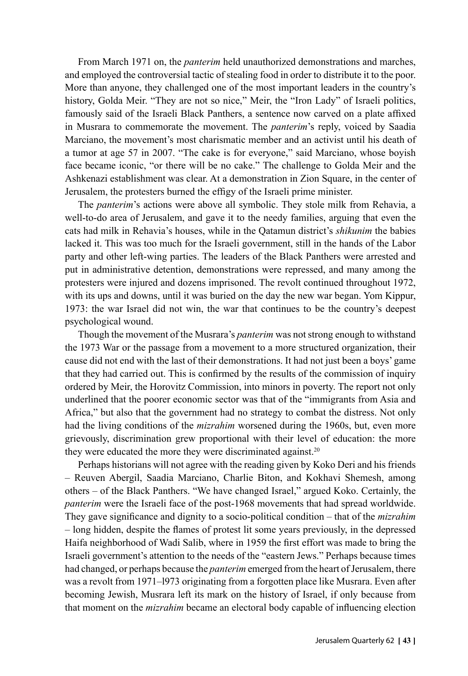From March 1971 on, the *panterim* held unauthorized demonstrations and marches, and employed the controversial tactic of stealing food in order to distribute it to the poor. More than anyone, they challenged one of the most important leaders in the country's history, Golda Meir. "They are not so nice," Meir, the "Iron Lady" of Israeli politics, famously said of the Israeli Black Panthers, a sentence now carved on a plate affixed in Musrara to commemorate the movement. The *panterim*'s reply, voiced by Saadia Marciano, the movement's most charismatic member and an activist until his death of a tumor at age 57 in 2007. "The cake is for everyone," said Marciano, whose boyish face became iconic, "or there will be no cake." The challenge to Golda Meir and the Ashkenazi establishment was clear. At a demonstration in Zion Square, in the center of Jerusalem, the protesters burned the effigy of the Israeli prime minister.

The *panterim*'s actions were above all symbolic. They stole milk from Rehavia, a well-to-do area of Jerusalem, and gave it to the needy families, arguing that even the cats had milk in Rehavia's houses, while in the Qatamun district's *shikunim* the babies lacked it. This was too much for the Israeli government, still in the hands of the Labor party and other left-wing parties. The leaders of the Black Panthers were arrested and put in administrative detention, demonstrations were repressed, and many among the protesters were injured and dozens imprisoned. The revolt continued throughout 1972, with its ups and downs, until it was buried on the day the new war began. Yom Kippur, 1973: the war Israel did not win, the war that continues to be the country's deepest psychological wound.

Though the movement of the Musrara's *panterim* was not strong enough to withstand the 1973 War or the passage from a movement to a more structured organization, their cause did not end with the last of their demonstrations. It had not just been a boys' game that they had carried out. This is confirmed by the results of the commission of inquiry ordered by Meir, the Horovitz Commission, into minors in poverty. The report not only underlined that the poorer economic sector was that of the "immigrants from Asia and Africa," but also that the government had no strategy to combat the distress. Not only had the living conditions of the *mizrahim* worsened during the 1960s, but, even more grievously, discrimination grew proportional with their level of education: the more they were educated the more they were discriminated against.<sup>20</sup>

Perhaps historians will not agree with the reading given by Koko Deri and his friends – Reuven Abergil, Saadia Marciano, Charlie Biton, and Kokhavi Shemesh, among others – of the Black Panthers. "We have changed Israel," argued Koko. Certainly, the *panterim* were the Israeli face of the post-1968 movements that had spread worldwide. They gave significance and dignity to a socio-political condition – that of the *mizrahim –* long hidden, despite the flames of protest lit some years previously, in the depressed Haifa neighborhood of Wadi Salib, where in 1959 the first effort was made to bring the Israeli government's attention to the needs of the "eastern Jews." Perhaps because times had changed, or perhaps because the *panterim* emerged from the heart of Jerusalem, there was a revolt from 1971–l973 originating from a forgotten place like Musrara. Even after becoming Jewish, Musrara left its mark on the history of Israel, if only because from that moment on the *mizrahim* became an electoral body capable of influencing election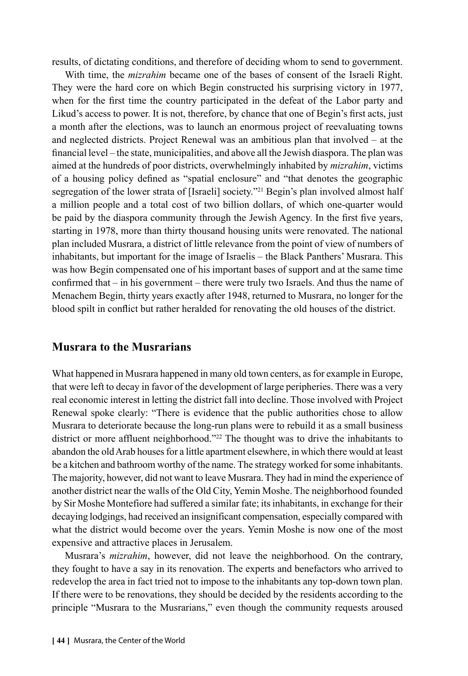results, of dictating conditions, and therefore of deciding whom to send to government.

With time, the *mizrahim* became one of the bases of consent of the Israeli Right. They were the hard core on which Begin constructed his surprising victory in 1977, when for the first time the country participated in the defeat of the Labor party and Likud's access to power. It is not, therefore, by chance that one of Begin's first acts, just a month after the elections, was to launch an enormous project of reevaluating towns and neglected districts. Project Renewal was an ambitious plan that involved – at the financial level – the state, municipalities, and above all the Jewish diaspora. The plan was aimed at the hundreds of poor districts, overwhelmingly inhabited by *mizrahim*, victims of a housing policy defined as "spatial enclosure" and "that denotes the geographic segregation of the lower strata of [Israeli] society."<sup>21</sup> Begin's plan involved almost half a million people and a total cost of two billion dollars, of which one-quarter would be paid by the diaspora community through the Jewish Agency. In the first five years, starting in 1978, more than thirty thousand housing units were renovated. The national plan included Musrara, a district of little relevance from the point of view of numbers of inhabitants, but important for the image of Israelis – the Black Panthers' Musrara. This was how Begin compensated one of his important bases of support and at the same time confirmed that – in his government – there were truly two Israels. And thus the name of Menachem Begin, thirty years exactly after 1948, returned to Musrara, no longer for the blood spilt in conflict but rather heralded for renovating the old houses of the district.

### **Musrara to the Musrarians**

What happened in Musrara happened in many old town centers, as for example in Europe, that were left to decay in favor of the development of large peripheries. There was a very real economic interest in letting the district fall into decline. Those involved with Project Renewal spoke clearly: "There is evidence that the public authorities chose to allow Musrara to deteriorate because the long-run plans were to rebuild it as a small business district or more affluent neighborhood."<sup>22</sup> The thought was to drive the inhabitants to abandon the old Arab houses for a little apartment elsewhere, in which there would at least be a kitchen and bathroom worthy of the name. The strategy worked for some inhabitants. The majority, however, did not want to leave Musrara. They had in mind the experience of another district near the walls of the Old City, Yemin Moshe. The neighborhood founded by Sir Moshe Montefiore had suffered a similar fate; its inhabitants, in exchange for their decaying lodgings, had received an insignificant compensation, especially compared with what the district would become over the years. Yemin Moshe is now one of the most expensive and attractive places in Jerusalem.

Musrara's *mizrahim*, however, did not leave the neighborhood. On the contrary, they fought to have a say in its renovation. The experts and benefactors who arrived to redevelop the area in fact tried not to impose to the inhabitants any top-down town plan. If there were to be renovations, they should be decided by the residents according to the principle "Musrara to the Musrarians," even though the community requests aroused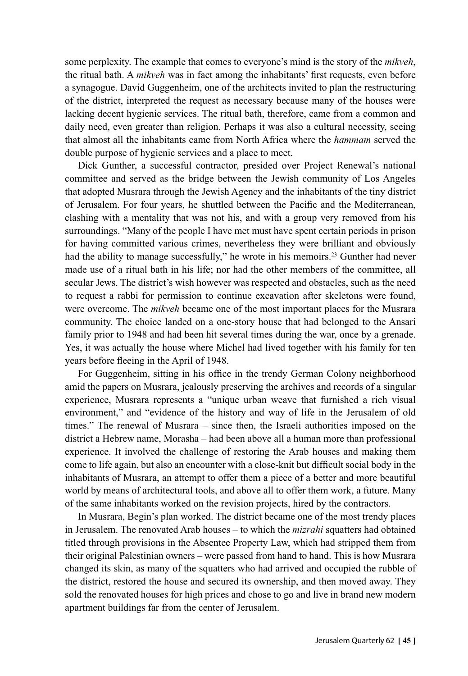some perplexity. The example that comes to everyone's mind is the story of the *mikveh*, the ritual bath. A *mikveh* was in fact among the inhabitants' first requests, even before a synagogue. David Guggenheim, one of the architects invited to plan the restructuring of the district, interpreted the request as necessary because many of the houses were lacking decent hygienic services. The ritual bath, therefore, came from a common and daily need, even greater than religion. Perhaps it was also a cultural necessity, seeing that almost all the inhabitants came from North Africa where the *hammam* served the double purpose of hygienic services and a place to meet.

Dick Gunther, a successful contractor, presided over Project Renewal's national committee and served as the bridge between the Jewish community of Los Angeles that adopted Musrara through the Jewish Agency and the inhabitants of the tiny district of Jerusalem. For four years, he shuttled between the Pacific and the Mediterranean, clashing with a mentality that was not his, and with a group very removed from his surroundings. "Many of the people I have met must have spent certain periods in prison for having committed various crimes, nevertheless they were brilliant and obviously had the ability to manage successfully," he wrote in his memoirs.<sup>23</sup> Gunther had never made use of a ritual bath in his life; nor had the other members of the committee, all secular Jews. The district's wish however was respected and obstacles, such as the need to request a rabbi for permission to continue excavation after skeletons were found, were overcome. The *mikveh* became one of the most important places for the Musrara community. The choice landed on a one-story house that had belonged to the Ansari family prior to 1948 and had been hit several times during the war, once by a grenade. Yes, it was actually the house where Michel had lived together with his family for ten years before fleeing in the April of 1948.

For Guggenheim, sitting in his office in the trendy German Colony neighborhood amid the papers on Musrara, jealously preserving the archives and records of a singular experience, Musrara represents a "unique urban weave that furnished a rich visual environment," and "evidence of the history and way of life in the Jerusalem of old times." The renewal of Musrara – since then, the Israeli authorities imposed on the district a Hebrew name, Morasha – had been above all a human more than professional experience. It involved the challenge of restoring the Arab houses and making them come to life again, but also an encounter with a close-knit but difficult social body in the inhabitants of Musrara, an attempt to offer them a piece of a better and more beautiful world by means of architectural tools, and above all to offer them work, a future. Many of the same inhabitants worked on the revision projects, hired by the contractors.

In Musrara, Begin's plan worked. The district became one of the most trendy places in Jerusalem. The renovated Arab houses – to which the *mizrahi* squatters had obtained titled through provisions in the Absentee Property Law, which had stripped them from their original Palestinian owners – were passed from hand to hand. This is how Musrara changed its skin, as many of the squatters who had arrived and occupied the rubble of the district, restored the house and secured its ownership, and then moved away. They sold the renovated houses for high prices and chose to go and live in brand new modern apartment buildings far from the center of Jerusalem.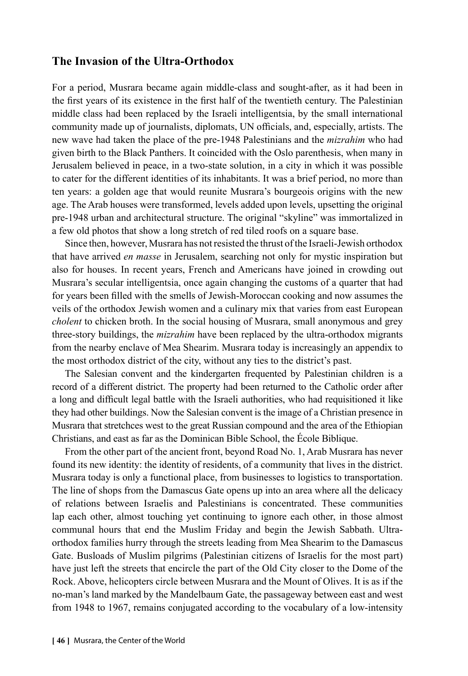# **The Invasion of the Ultra-Orthodox**

For a period, Musrara became again middle-class and sought-after, as it had been in the first years of its existence in the first half of the twentieth century. The Palestinian middle class had been replaced by the Israeli intelligentsia, by the small international community made up of journalists, diplomats, UN officials, and, especially, artists. The new wave had taken the place of the pre-1948 Palestinians and the *mizrahim* who had given birth to the Black Panthers. It coincided with the Oslo parenthesis, when many in Jerusalem believed in peace, in a two-state solution, in a city in which it was possible to cater for the different identities of its inhabitants. It was a brief period, no more than ten years: a golden age that would reunite Musrara's bourgeois origins with the new age. The Arab houses were transformed, levels added upon levels, upsetting the original pre-1948 urban and architectural structure. The original "skyline" was immortalized in a few old photos that show a long stretch of red tiled roofs on a square base.

Since then, however, Musrara has not resisted the thrust of the Israeli-Jewish orthodox that have arrived *en masse* in Jerusalem, searching not only for mystic inspiration but also for houses. In recent years, French and Americans have joined in crowding out Musrara's secular intelligentsia, once again changing the customs of a quarter that had for years been filled with the smells of Jewish-Moroccan cooking and now assumes the veils of the orthodox Jewish women and a culinary mix that varies from east European *cholent* to chicken broth. In the social housing of Musrara, small anonymous and grey three-story buildings, the *mizrahim* have been replaced by the ultra-orthodox migrants from the nearby enclave of Mea Shearim. Musrara today is increasingly an appendix to the most orthodox district of the city, without any ties to the district's past.

The Salesian convent and the kindergarten frequented by Palestinian children is a record of a different district. The property had been returned to the Catholic order after a long and difficult legal battle with the Israeli authorities, who had requisitioned it like they had other buildings. Now the Salesian convent is the image of a Christian presence in Musrara that stretchces west to the great Russian compound and the area of the Ethiopian Christians, and east as far as the Dominican Bible School, the École Biblique.

From the other part of the ancient front, beyond Road No. 1, Arab Musrara has never found its new identity: the identity of residents, of a community that lives in the district. Musrara today is only a functional place, from businesses to logistics to transportation. The line of shops from the Damascus Gate opens up into an area where all the delicacy of relations between Israelis and Palestinians is concentrated. These communities lap each other, almost touching yet continuing to ignore each other, in those almost communal hours that end the Muslim Friday and begin the Jewish Sabbath. Ultraorthodox families hurry through the streets leading from Mea Shearim to the Damascus Gate. Busloads of Muslim pilgrims (Palestinian citizens of Israelis for the most part) have just left the streets that encircle the part of the Old City closer to the Dome of the Rock. Above, helicopters circle between Musrara and the Mount of Olives. It is as if the no-man's land marked by the Mandelbaum Gate, the passageway between east and west from 1948 to 1967, remains conjugated according to the vocabulary of a low-intensity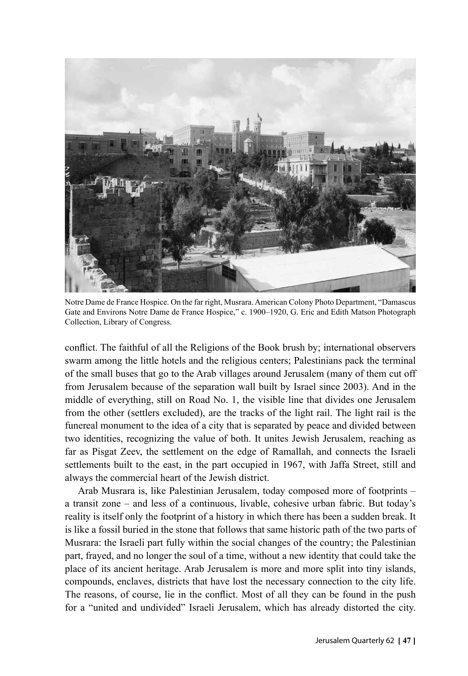

Notre Dame de France Hospice. On the far right, Musrara. American Colony Photo Department, "Damascus Gate and Environs Notre Dame de France Hospice," c. 1900–1920, G. Eric and Edith Matson Photograph Collection, Library of Congress.

conflict. The faithful of all the Religions of the Book brush by; international observers swarm among the little hotels and the religious centers; Palestinians pack the terminal of the small buses that go to the Arab villages around Jerusalem (many of them cut off from Jerusalem because of the separation wall built by Israel since 2003). And in the middle of everything, still on Road No. 1, the visible line that divides one Jerusalem from the other (settlers excluded), are the tracks of the light rail. The light rail is the funereal monument to the idea of a city that is separated by peace and divided between two identities, recognizing the value of both. It unites Jewish Jerusalem, reaching as far as Pisgat Zeev, the settlement on the edge of Ramallah, and connects the Israeli settlements built to the east, in the part occupied in 1967, with Jaffa Street, still and always the commercial heart of the Jewish district.

Arab Musrara is, like Palestinian Jerusalem, today composed more of footprints – a transit zone – and less of a continuous, livable, cohesive urban fabric. But today's reality is itself only the footprint of a history in which there has been a sudden break. It is like a fossil buried in the stone that follows that same historic path of the two parts of Musrara: the Israeli part fully within the social changes of the country; the Palestinian part, frayed, and no longer the soul of a time, without a new identity that could take the place of its ancient heritage. Arab Jerusalem is more and more split into tiny islands, compounds, enclaves, districts that have lost the necessary connection to the city life. The reasons, of course, lie in the conflict. Most of all they can be found in the push for a "united and undivided" Israeli Jerusalem, which has already distorted the city.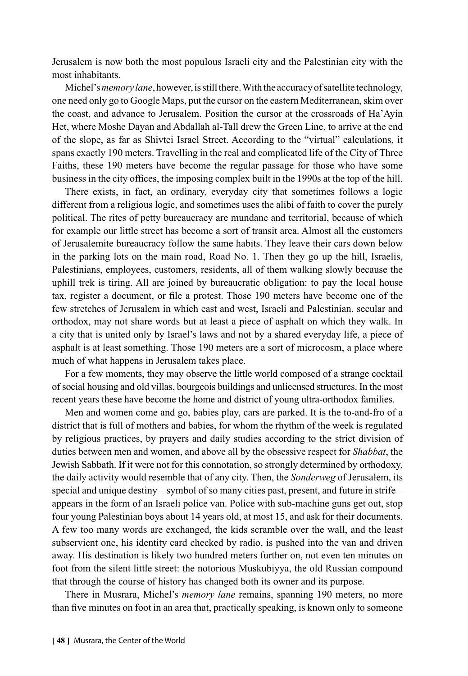Jerusalem is now both the most populous Israeli city and the Palestinian city with the most inhabitants.

Michel's *memory lane*, however, is still there. With the accuracy of satellite technology, one need only go to Google Maps, put the cursor on the eastern Mediterranean, skim over the coast, and advance to Jerusalem. Position the cursor at the crossroads of Ha'Ayin Het, where Moshe Dayan and Abdallah al-Tall drew the Green Line, to arrive at the end of the slope, as far as Shivtei Israel Street. According to the "virtual" calculations, it spans exactly 190 meters. Travelling in the real and complicated life of the City of Three Faiths, these 190 meters have become the regular passage for those who have some business in the city offices, the imposing complex built in the 1990s at the top of the hill.

There exists, in fact, an ordinary, everyday city that sometimes follows a logic different from a religious logic, and sometimes uses the alibi of faith to cover the purely political. The rites of petty bureaucracy are mundane and territorial, because of which for example our little street has become a sort of transit area. Almost all the customers of Jerusalemite bureaucracy follow the same habits. They leave their cars down below in the parking lots on the main road, Road No. 1. Then they go up the hill, Israelis, Palestinians, employees, customers, residents, all of them walking slowly because the uphill trek is tiring. All are joined by bureaucratic obligation: to pay the local house tax, register a document, or file a protest. Those 190 meters have become one of the few stretches of Jerusalem in which east and west, Israeli and Palestinian, secular and orthodox, may not share words but at least a piece of asphalt on which they walk. In a city that is united only by Israel's laws and not by a shared everyday life, a piece of asphalt is at least something. Those 190 meters are a sort of microcosm, a place where much of what happens in Jerusalem takes place.

For a few moments, they may observe the little world composed of a strange cocktail of social housing and old villas, bourgeois buildings and unlicensed structures. In the most recent years these have become the home and district of young ultra-orthodox families.

Men and women come and go, babies play, cars are parked. It is the to-and-fro of a district that is full of mothers and babies, for whom the rhythm of the week is regulated by religious practices, by prayers and daily studies according to the strict division of duties between men and women, and above all by the obsessive respect for *Shabbat*, the Jewish Sabbath. If it were not for this connotation, so strongly determined by orthodoxy, the daily activity would resemble that of any city. Then, the *Sonderweg* of Jerusalem, its special and unique destiny – symbol of so many cities past, present, and future in strife – appears in the form of an Israeli police van. Police with sub-machine guns get out, stop four young Palestinian boys about 14 years old, at most 15, and ask for their documents. A few too many words are exchanged, the kids scramble over the wall, and the least subservient one, his identity card checked by radio, is pushed into the van and driven away. His destination is likely two hundred meters further on, not even ten minutes on foot from the silent little street: the notorious Muskubiyya, the old Russian compound that through the course of history has changed both its owner and its purpose.

There in Musrara, Michel's *memory lane* remains, spanning 190 meters, no more than five minutes on foot in an area that, practically speaking, is known only to someone